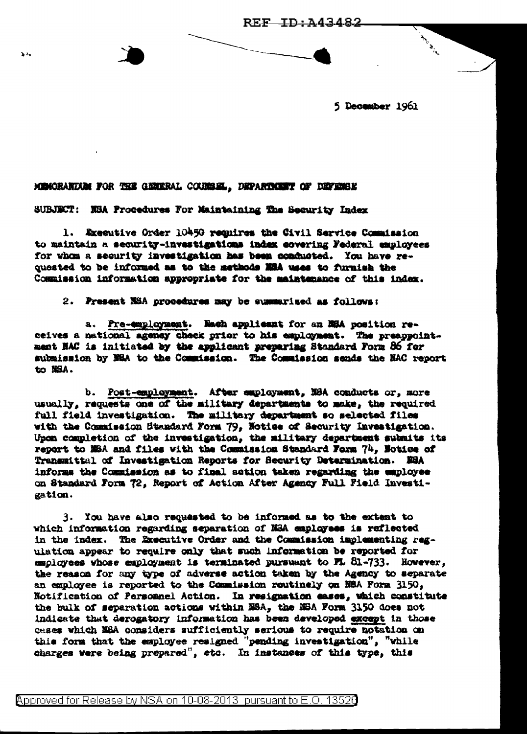5 December 1961

Antiche Registration

## MEMORANDUM FOR THE GENERAL COURSEL, DEPARTMENT OF DEFENSE

 $\sum_{i=1}^{n}$ 

SUBJECT: NEA Procedures For Maintaining The Security Index

1. Executive Order 10450 requires the Civil Service Commission to maintain a security-investigations index covering Federal employees for whom a security investigation has been conducted. You have requested to be informed as to the methods MSA uses to furnish the Commission information appropriate for the maintenance of this index.

2. Present NSA procedures may be summarized as follows:

a. Pre-employment. Mach applicant for an NSA position receives a national agency check prior to his exployment. The preappointment NAC is initiated by the applicant preparing Standard Form 86 for submission by NEA to the Commission. The Commission sends the NAC report to NSA.

b. Post-employment. After employment, N8A conducts or, more usually, requests one of the military departments to make, the required full field investigation. The military department so selected files with the Commission Standard Form 79, Notice of Security Investigation. Upon completion of the investigation, the military department submits its report to MSA and files with the Commission Standard Form 74, Notice of Transmittal of Investigation Reports for Security Determination. ESA informs the Commission as to final action taken regarding the employee on Standard Form 72, Report of Action After Agency Full Field Investigation.

3. You have also requested to be informed as to the extent to which information regarding separation of NSA employees is reflected in the index. The Executive Order and the Commission implementing regulation appear to require only that such information be reported for employees whose employment is terminated pursuant to FL 81-733. However, the reason for any type of adverse action taken by the Agency to separate an employee is reported to the Commission routinely on N8A Form 3150, Notification of Personnel Action. In resignation eases, which constitute the bulk of separation actions within NSA, the NSA Form 3150 does not indicate that derogatory information has been developed except in those cases which NEA considers sufficiently serious to require notation on this form that the employee resigned "pending investigation", "while charges were being prepared", etc. In instances of this type, this